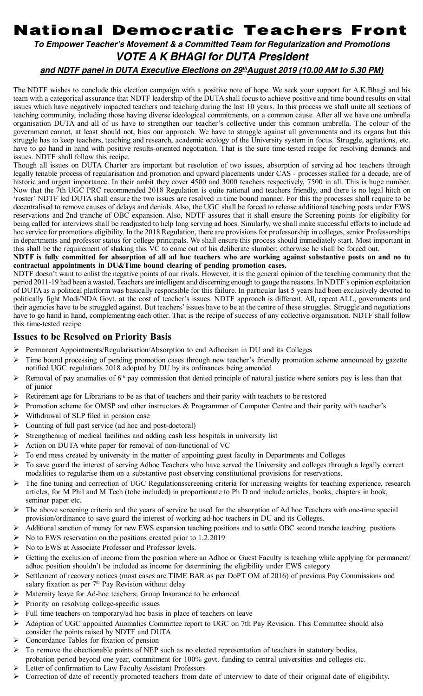## **National Democratic Teachers Front**

*To Empower Teacher's Movement & a Committed Team for Regularization and Promotions*

## *VOTE A K BHAGI for DUTA President*

*and NDTF panel in DUTA Executive Elections on 29thAugust 2019 (10.00 AM to 5.30 PM)*

The NDTF wishes to conclude this election campaign with a positive note of hope. We seek your support for A.K.Bhagi and his team with a categorical assurance that NDTF leadership of the DUTA shall focus to achieve positive and time bound results on vital issues which have negatively impacted teachers and teaching during the last 10 years. In this process we shall unite all sections of teaching community, including those having diverse ideological commitments, on a common cause. After all we have one umbrella organisation DUTA and all of us have to strengthen our teacher's collective under this common umbrella. The colour of the government cannot, at least should not, bias our approach. We have to struggle against all governments and its organs but this struggle has to keep teachers, teaching and research, academic ecology of the University system in focus. Struggle, agitations, etc. have to go hand in hand with positive results-oriented negotiation. That is the sure time-tested recipe for resolving demands and issues. NDTF shall follow this recipe.

Though all issues on DUTA Charter are important but resolution of two issues, absorption of serving ad hoc teachers through legally tenable process of regularisation and promotion and upward placements under CAS - processes stalled for a decade, are of historic and urgent importance. In their ambit they cover 4500 and 3000 teachers respectively, 7500 in all. This is huge number. Now that the 7th UGC PRC recommended 2018 Regulation is quite rational and teachers friendly, and there is no legal hitch on 'roster' NDTF led DUTA shall ensure the two issues are resolved in time bound manner. For this the processes shall require to be decentralised to remove causes of delays and denials. Also, the UGC shall be forced to release additional teaching posts under EWS reservations and 2nd tranche of OBC expansion. Also, NDTF assures that it shall ensure the Screening points for eligibility for being called for interviews shall be readjusted to help long serving ad hocs. Similarly, we shall make successful efforts to include ad hoc service for promotions eligibility. In the 2018 Regulation, there are provisions for professorship in colleges, senior Professorships in departments and professor status for college principals. We shall ensure this process should immediately start. Most important in this shall be the requirement of shaking this VC to come out of his deliberate slumber; otherwise he shall be forced out.

**NDTF is fully committed for absorption of all ad hoc teachers who are working against substantive posts on and no to contractual appointments in DU&Time bound clearing of pending promotion cases.**

NDTF doesn't want to enlist the negative points of our rivals. However, it is the general opinion of the teaching community that the period 2011-19 had been a wasted. Teachers are intelligent and discerning enough to gauge the reasons. In NDTF's opinion exploitation of DUTA as a political platform was basically responsible for this failure. In particular last 5 years had been exclusively devoted to politically fight Modi/NDA Govt. at the cost of teacher's issues. NDTF approach is different. All, repeat ALL, governments and their agencies have to be struggled against. But teachers' issues have to be at the centre of these struggles. Struggle and negotiations have to go hand in hand, complementing each other. That is the recipe of success of any collective organisation. NDTF shall follow this time-tested recipe.

## **Issues to be Resolved on Priority Basis**

- Permanent Appointments/Regularisation/Absorption to end Adhocism in DU and its Colleges
- Time bound processing of pending promotion cases through new teacher's friendly promotion scheme announced by gazette notified UGC regulations 2018 adopted by DU by its ordinances being amended
- Removal of pay anomalies of  $6<sup>th</sup>$  pay commission that denied principle of natural justice where seniors pay is less than that of junior
- Retirement age for Librarians to be as that of teachers and their parity with teachers to be restored
- Promotion scheme for OMSP and other instructors  $\&$  Programmer of Computer Centre and their parity with teacher's
- Withdrawal of SLP filed in pension case
- Counting of full past service (ad hoc and post-doctoral)
- Strengthening of medical facilities and adding cash less hospitals in university list
- Action on DUTA white paper for removal of non-functional of VC
- To end mess created by university in the matter of appointing guest faculty in Departments and Colleges
- To save guard the interest of serving Adhoc Teachers who have served the University and colleges through a legally correct modalities to regularise them on a substantive post observing constitutional provisions for reservations.
- The fine tuning and correction of UGC Regulationsscreening criteria for increasing weights for teaching experience, research articles, for M Phil and M Tech (tobe included) in proportionate to Ph D and include articles, books, chapters in book, seminar paper etc.
- The above screening criteria and the years of service be used for the absorption of Ad hoc Teachers with one-time special provision/ordinance to save guard the interest of working ad-hoc teachers in DU and its Colleges.
- Additional sanction of money for new EWS expansion teaching positions and to settle OBC second tranche teaching positions
- No to EWS reservation on the positions created prior to 1.2.2019
- No to EWS at Associate Professor and Professor levels.
- $\triangleright$  Getting the exclusion of income from the position where an Adhoc or Guest Faculty is teaching while applying for permanent/ adhoc position shouldn't be included as income for determining the eligibility under EWS category
- $\triangleright$  Settlement of recovery notices (most cases are TIME BAR as per DoPT OM of 2016) of previous Pay Commissions and salary fixation as per  $7<sup>th</sup>$  Pay Revision without delay
- Maternity leave for Ad-hoc teachers; Group Insurance to be enhanced
- Priority on resolving college-specific issues
- $\triangleright$  Full time teachers on temporary/ad hoc basis in place of teachers on leave
- Adoption of UGC appointed Anomalies Committee report to UGC on 7th Pay Revision. This Committee should also consider the points raised by NDTF and DUTA
- Concordance Tables for fixation of pension
- To remove the obectionable points of NEP such as no elected representation of teachers in statutory bodies, probation period beyond one year, commitment for 100% govt. funding to central universities and colleges etc.
- Letter of confirmation to Law Faculty Assistant Professors
- Correction of date of recently promoted teachers from date of interview to date of their original date of eligibility.